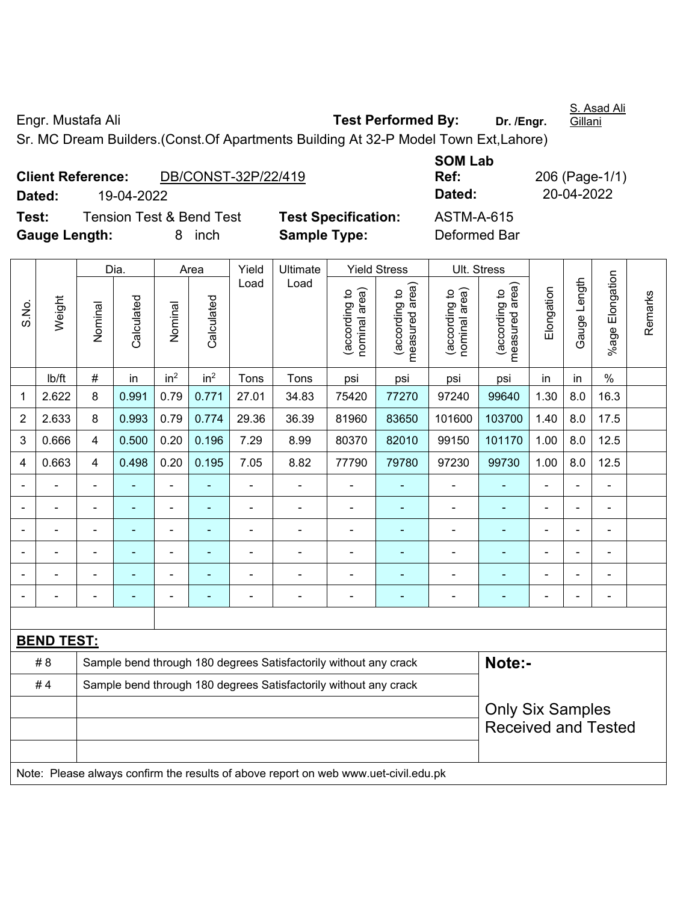Engr. Mustafa Ali **Test Performed By: Dr. /Engr.** 

S. Asad Ali Gillani

Sr. MC Dream Builders.(Const.Of Apartments Building At 32-P Model Town Ext,Lahore)

| <b>Client Reference:</b> |            | DB/CONST-32P/22/419                 |                 |
|--------------------------|------------|-------------------------------------|-----------------|
| Dated:                   | 19-04-2022 |                                     |                 |
| Test:                    |            | <b>Tension Test &amp; Bend Test</b> | <b>Test Spe</b> |
| <b>Gauge Length:</b>     |            | 8 inch                              | <b>Sample T</b> |

**SOM Lab Ref:** 206 (Page-1/1) **Dated:** 19-04-2022 **Dated:** 20-04-2022 **Testion:** ASTM-A-615 **Fype: Deformed Bar** 

|                |                   |                                                                                     | Dia.       |                 | Area            | Yield          | Ultimate                                                         |                                | <b>Yield Stress</b>             |                                | Ult. Stress                                           |                |                |                       |         |
|----------------|-------------------|-------------------------------------------------------------------------------------|------------|-----------------|-----------------|----------------|------------------------------------------------------------------|--------------------------------|---------------------------------|--------------------------------|-------------------------------------------------------|----------------|----------------|-----------------------|---------|
| S.No.          | Weight            | Nominal                                                                             | Calculated | Nominal         | Calculated      | Load           | Load                                                             | nominal area)<br>(according to | (according to<br>measured area) | nominal area)<br>(according to | (according to<br>measured area)                       | Elongation     | Gauge Length   | Elongation<br>$%$ age | Remarks |
|                | Ib/ft             | $\#$                                                                                | in         | in <sup>2</sup> | in <sup>2</sup> | Tons           | Tons                                                             | psi                            | psi                             | psi                            | psi                                                   | in             | in             | $\%$                  |         |
| 1              | 2.622             | 8                                                                                   | 0.991      | 0.79            | 0.771           | 27.01          | 34.83                                                            | 75420                          | 77270                           | 97240                          | 99640                                                 | 1.30           | 8.0            | 16.3                  |         |
| $\overline{2}$ | 2.633             | 8                                                                                   | 0.993      | 0.79            | 0.774           | 29.36          | 36.39                                                            | 81960                          | 83650                           | 101600                         | 103700                                                | 1.40           | 8.0            | 17.5                  |         |
| 3              | 0.666             | $\overline{4}$                                                                      | 0.500      | 0.20            | 0.196           | 7.29           | 8.99                                                             | 80370                          | 82010                           | 99150                          | 101170                                                | 1.00           | 8.0            | 12.5                  |         |
| 4              | 0.663             | $\overline{4}$                                                                      | 0.498      | 0.20            | 0.195           | 7.05           | 8.82                                                             | 77790                          | 79780                           | 97230                          | 99730                                                 | 1.00           | 8.0            | 12.5                  |         |
|                | ä,                | $\blacksquare$                                                                      |            | $\blacksquare$  |                 | ÷              | ä,                                                               | $\blacksquare$                 |                                 | ä,                             | $\sim$                                                | $\blacksquare$ |                | $\blacksquare$        |         |
|                | $\blacksquare$    | $\blacksquare$                                                                      | ä,         | $\blacksquare$  | ۰               | ÷,             | ä,                                                               | ä,                             | ä,                              | ä,                             | $\blacksquare$                                        | $\blacksquare$ |                | $\blacksquare$        |         |
|                |                   |                                                                                     |            | $\blacksquare$  |                 |                | $\blacksquare$                                                   | $\blacksquare$                 |                                 | $\blacksquare$                 | $\blacksquare$                                        | $\blacksquare$ |                | $\blacksquare$        |         |
|                |                   |                                                                                     |            | -               |                 |                |                                                                  |                                |                                 |                                |                                                       |                |                |                       |         |
|                |                   |                                                                                     |            |                 |                 |                |                                                                  | $\blacksquare$                 |                                 |                                |                                                       |                |                |                       |         |
|                |                   |                                                                                     |            | -               | ۰               | $\blacksquare$ | $\blacksquare$                                                   | $\blacksquare$                 | ٠                               | $\blacksquare$                 | ä,                                                    | ä,             | $\blacksquare$ | $\blacksquare$        |         |
|                |                   |                                                                                     |            |                 |                 |                |                                                                  |                                |                                 |                                |                                                       |                |                |                       |         |
|                | <b>BEND TEST:</b> |                                                                                     |            |                 |                 |                |                                                                  |                                |                                 |                                |                                                       |                |                |                       |         |
|                | #8                |                                                                                     |            |                 |                 |                | Sample bend through 180 degrees Satisfactorily without any crack |                                |                                 |                                | Note:-                                                |                |                |                       |         |
|                | #4                |                                                                                     |            |                 |                 |                | Sample bend through 180 degrees Satisfactorily without any crack |                                |                                 |                                |                                                       |                |                |                       |         |
|                |                   |                                                                                     |            |                 |                 |                |                                                                  |                                |                                 |                                | <b>Only Six Samples</b><br><b>Received and Tested</b> |                |                |                       |         |
|                |                   | Note: Please always confirm the results of above report on web www.uet-civil.edu.pk |            |                 |                 |                |                                                                  |                                |                                 |                                |                                                       |                |                |                       |         |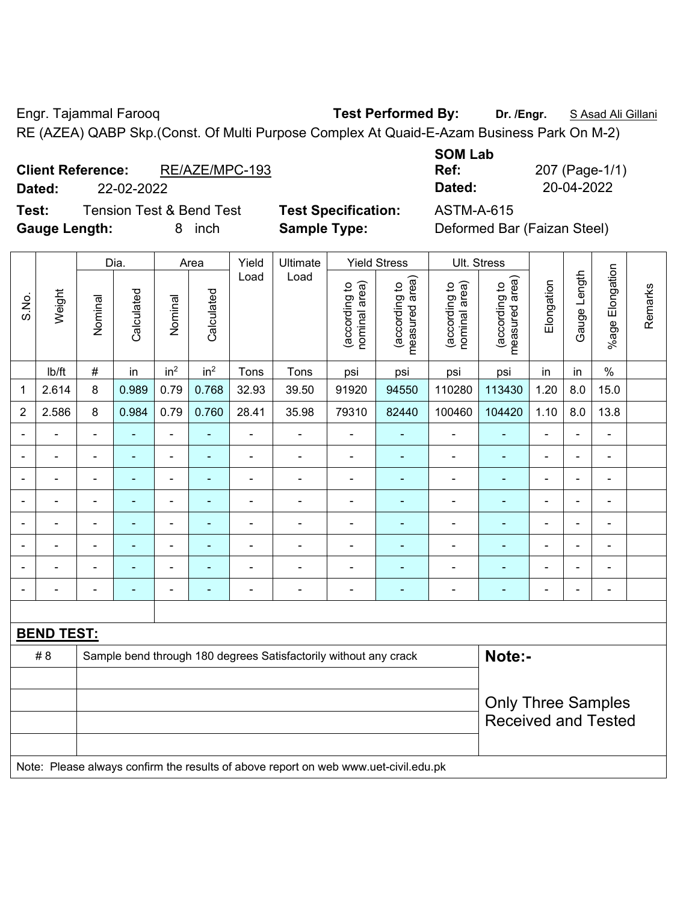Engr. Tajammal Farooq **Test Performed By: Dr. /Engr.** S Asad Ali Gillani RE (AZEA) QABP Skp.(Const. Of Multi Purpose Complex At Quaid-E-Azam Business Park On M-2)

**Client Reference:** RE/AZE/MPC-193

**Test:** Tension Test & Bend Test **Test Specification:** ASTM-A-615

**SOM Lab Ref:** 207 (Page-1/1) **Dated:** 22-02-2022 **Dated:** 20-04-2022

**Gauge Length:** 8 inch **Sample Type:** Deformed Bar (Faizan Steel)

|                |                   |         | Dia.           |                 | Area            | Yield          | Ultimate                                                                            |                                | <b>Yield Stress</b>             |                                | Ult. Stress                     |                |                          |                 |         |
|----------------|-------------------|---------|----------------|-----------------|-----------------|----------------|-------------------------------------------------------------------------------------|--------------------------------|---------------------------------|--------------------------------|---------------------------------|----------------|--------------------------|-----------------|---------|
| S.No.          | Weight            | Nominal | Calculated     | Nominal         | Calculated      | Load           | Load                                                                                | nominal area)<br>(according to | measured area)<br>(according to | nominal area)<br>(according to | (according to<br>measured area) | Elongation     | Gauge Length             | %age Elongation | Remarks |
|                | lb/ft             | #       | in             | in <sup>2</sup> | in <sup>2</sup> | Tons           | Tons                                                                                | psi                            | psi                             | psi                            | psi                             | in             | in                       | $\frac{0}{0}$   |         |
| 1              | 2.614             | 8       | 0.989          | 0.79            | 0.768           | 32.93          | 39.50                                                                               | 91920                          | 94550                           | 110280                         | 113430                          | 1.20           | 8.0                      | 15.0            |         |
| $\overline{2}$ | 2.586             | 8       | 0.984          | 0.79            | 0.760           | 28.41          | 35.98                                                                               | 79310                          | 82440                           | 100460                         | 104420                          | 1.10           | 8.0                      | 13.8            |         |
|                |                   |         |                | ä,              |                 | L.             |                                                                                     |                                |                                 |                                |                                 |                |                          | $\blacksquare$  |         |
|                |                   |         |                | $\blacksquare$  |                 |                |                                                                                     |                                |                                 |                                |                                 |                |                          |                 |         |
|                |                   |         | $\blacksquare$ | ÷,              |                 | $\blacksquare$ | $\blacksquare$                                                                      | ä,                             |                                 | $\blacksquare$                 | ۰                               | $\blacksquare$ | $\overline{\phantom{0}}$ | $\blacksquare$  |         |
|                |                   |         |                | ä,              | ۰               |                | $\blacksquare$                                                                      | L,                             |                                 | $\blacksquare$                 |                                 | $\blacksquare$ | Ē,                       | $\blacksquare$  |         |
|                | $\blacksquare$    |         | $\blacksquare$ | $\blacksquare$  | ÷               | ÷              | ÷                                                                                   | ä,                             | $\blacksquare$                  | $\blacksquare$                 | ÷                               | $\blacksquare$ | i.                       | $\blacksquare$  |         |
|                | $\blacksquare$    |         | $\blacksquare$ | ÷               |                 | ÷              | ÷                                                                                   | L,                             |                                 | $\blacksquare$                 | ۰                               |                |                          | $\blacksquare$  |         |
|                |                   |         | ÷              | Ē,              |                 |                |                                                                                     | L,                             |                                 |                                |                                 |                |                          | $\blacksquare$  |         |
|                |                   |         |                | ÷               |                 |                |                                                                                     |                                |                                 |                                |                                 |                |                          | $\blacksquare$  |         |
|                |                   |         |                |                 |                 |                |                                                                                     |                                |                                 |                                |                                 |                |                          |                 |         |
|                | <b>BEND TEST:</b> |         |                |                 |                 |                |                                                                                     |                                |                                 |                                |                                 |                |                          |                 |         |
|                | #8                |         |                |                 |                 |                | Sample bend through 180 degrees Satisfactorily without any crack                    |                                |                                 |                                | Note:-                          |                |                          |                 |         |
|                |                   |         |                |                 |                 |                |                                                                                     |                                |                                 |                                |                                 |                |                          |                 |         |
|                |                   |         |                |                 |                 |                |                                                                                     |                                |                                 |                                | <b>Only Three Samples</b>       |                |                          |                 |         |
|                |                   |         |                |                 |                 |                |                                                                                     |                                |                                 |                                | <b>Received and Tested</b>      |                |                          |                 |         |
|                |                   |         |                |                 |                 |                |                                                                                     |                                |                                 |                                |                                 |                |                          |                 |         |
|                |                   |         |                |                 |                 |                | Note: Please always confirm the results of above report on web www.uet-civil.edu.pk |                                |                                 |                                |                                 |                |                          |                 |         |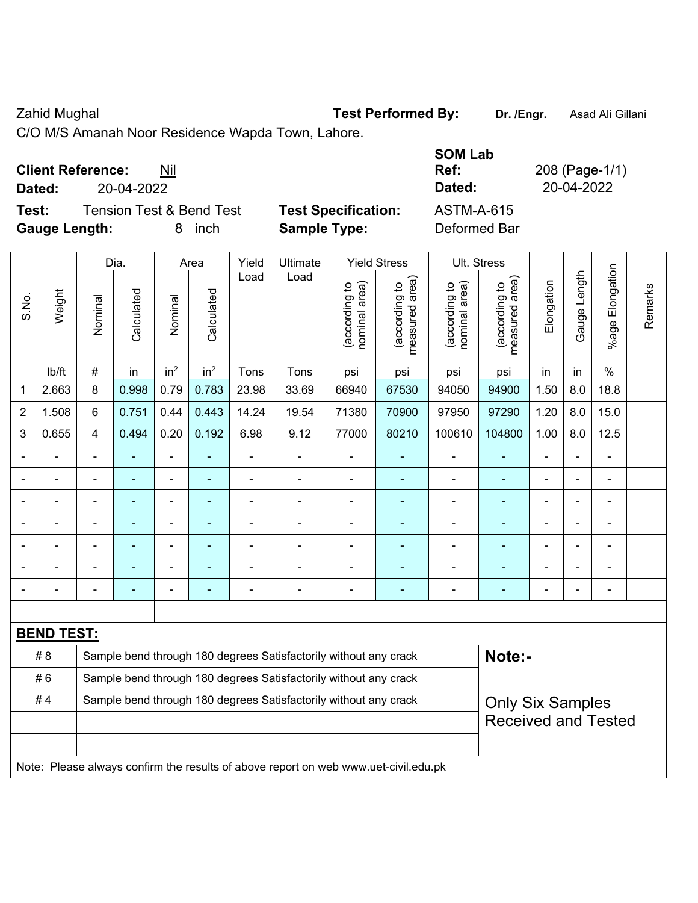Zahid Mughal **Test Performed By:** Dr. /Engr. **Asad Ali Gillani** Cahid Mughal

C/O M/S Amanah Noor Residence Wapda Town, Lahore.

| <b>Client Reference:</b> | Nil |
|--------------------------|-----|
|--------------------------|-----|

**Test:** Tension Test & Bend Test **Test Specification: Gauge Length:** 8 inch **Sample Type:** Deformed Bar

| <b>Client Reference:</b><br>Nil              |        |                            | <b>SOM Lab</b><br>Ref: | 208 (Page-1/1) |
|----------------------------------------------|--------|----------------------------|------------------------|----------------|
| 20-04-2022<br>Dated:                         |        |                            | Dated:                 | 20-04-2022     |
| Test:<br><b>Tension Test &amp; Bend Test</b> |        | <b>Test Specification:</b> | ASTM-A-615             |                |
| Gaugo Longth                                 | 8 inch | Sample Type:               | Deformed Bar           |                |

|                |                   |                         | Dia.           |                 | Area            | Yield          | Ultimate                                                                            |                                | <b>Yield Stress</b>                         |                                | Ult. Stress                                 |                |              |                       |         |
|----------------|-------------------|-------------------------|----------------|-----------------|-----------------|----------------|-------------------------------------------------------------------------------------|--------------------------------|---------------------------------------------|--------------------------------|---------------------------------------------|----------------|--------------|-----------------------|---------|
| S.No.          | Weight            | Nominal                 | Calculated     | Nominal         | Calculated      | Load           | Load                                                                                | nominal area)<br>(according to | (according to<br>measured area)<br>measured | (according to<br>nominal area) | (according to<br>measured area)<br>measured | Elongation     | Gauge Length | Elongation<br>$%$ age | Remarks |
|                | Ib/ft             | $\#$                    | in             | in <sup>2</sup> | in <sup>2</sup> | Tons           | Tons                                                                                | psi                            | psi                                         | psi                            | psi                                         | in             | in           | $\%$                  |         |
| $\mathbf{1}$   | 2.663             | 8                       | 0.998          | 0.79            | 0.783           | 23.98          | 33.69                                                                               | 66940                          | 67530                                       | 94050                          | 94900                                       | 1.50           | 8.0          | 18.8                  |         |
| $\overline{2}$ | 1.508             | 6                       | 0.751          | 0.44            | 0.443           | 14.24          | 19.54                                                                               | 71380                          | 70900                                       | 97950                          | 97290                                       | 1.20           | 8.0          | 15.0                  |         |
| 3              | 0.655             | $\overline{\mathbf{4}}$ | 0.494          | 0.20            | 0.192           | 6.98           | 9.12                                                                                | 77000                          | 80210                                       | 100610                         | 104800                                      | 1.00           | 8.0          | 12.5                  |         |
| $\blacksquare$ | ä,                | $\blacksquare$          | $\blacksquare$ | ÷,              | ٠               | $\frac{1}{2}$  | ÷,                                                                                  | $\blacksquare$                 | $\blacksquare$                              | $\overline{\phantom{a}}$       | $\blacksquare$                              | ä,             | L.           | $\blacksquare$        |         |
| $\blacksquare$ | $\blacksquare$    | $\blacksquare$          | ÷,             | $\overline{a}$  | ÷,              | ä,             | $\blacksquare$                                                                      | ä,                             | ä,                                          | $\blacksquare$                 | $\blacksquare$                              | $\blacksquare$ |              | $\blacksquare$        |         |
| ä,             | ä,                | $\blacksquare$          | ÷,             | $\blacksquare$  | Ξ               | ÷,             | ÷,                                                                                  | ÷,                             | ÷                                           | $\blacksquare$                 | ä,                                          | $\blacksquare$ |              | $\blacksquare$        |         |
|                |                   |                         |                |                 |                 |                |                                                                                     | $\overline{\phantom{a}}$       | $\blacksquare$                              | $\blacksquare$                 | ÷                                           |                |              | ä,                    |         |
| ۰              |                   |                         |                |                 | ۰               |                |                                                                                     |                                |                                             |                                | ÷                                           |                |              | ä,                    |         |
| ۰              |                   |                         |                | Ē,              | ۳               |                |                                                                                     |                                |                                             | ä,                             | ۰                                           |                |              | $\blacksquare$        |         |
| $\blacksquare$ |                   | $\blacksquare$          |                | ÷               | ۰               | $\blacksquare$ | $\blacksquare$                                                                      | $\blacksquare$                 | $\blacksquare$                              | $\blacksquare$                 | ÷                                           | $\blacksquare$ |              | Ē,                    |         |
|                |                   |                         |                |                 |                 |                |                                                                                     |                                |                                             |                                |                                             |                |              |                       |         |
|                | <b>BEND TEST:</b> |                         |                |                 |                 |                |                                                                                     |                                |                                             |                                |                                             |                |              |                       |         |
|                | #8                |                         |                |                 |                 |                | Sample bend through 180 degrees Satisfactorily without any crack                    |                                |                                             |                                | Note:-                                      |                |              |                       |         |
|                | #6                |                         |                |                 |                 |                | Sample bend through 180 degrees Satisfactorily without any crack                    |                                |                                             |                                |                                             |                |              |                       |         |
|                | #4                |                         |                |                 |                 |                | Sample bend through 180 degrees Satisfactorily without any crack                    |                                |                                             |                                | <b>Only Six Samples</b>                     |                |              |                       |         |
|                |                   |                         |                |                 |                 |                |                                                                                     |                                |                                             |                                | <b>Received and Tested</b>                  |                |              |                       |         |
|                |                   |                         |                |                 |                 |                |                                                                                     |                                |                                             |                                |                                             |                |              |                       |         |
|                |                   |                         |                |                 |                 |                | Note: Please always confirm the results of above report on web www.uet-civil.edu.pk |                                |                                             |                                |                                             |                |              |                       |         |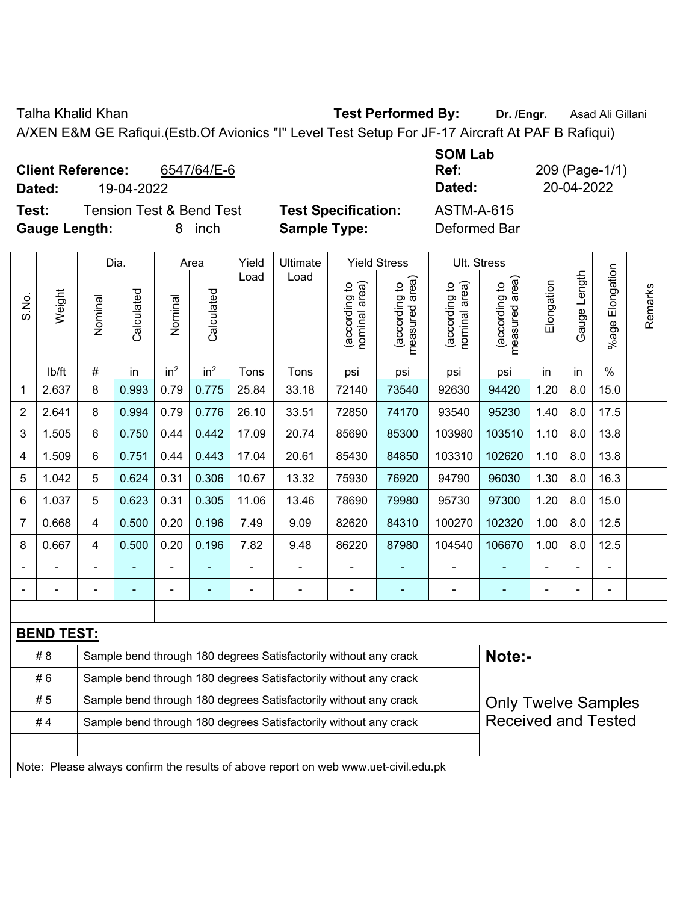Talha Khalid Khan **Test Performed By: Dr. /Engr.** Asad Ali Gillani

A/XEN E&M GE Rafiqui.(Estb.Of Avionics "I" Level Test Setup For JF-17 Aircraft At PAF B Rafiqui)

| <b>Client Reference:</b><br>6547/64/E-6<br>19-04-2022<br>Dated: |                            | <b>SOM Lab</b><br>Ref:<br>Dated: | 209 (Page-1/1)<br>20-04-2022 |
|-----------------------------------------------------------------|----------------------------|----------------------------------|------------------------------|
| <b>Tension Test &amp; Bend Test</b><br>Test:                    | <b>Test Specification:</b> | <b>ASTM-A-615</b>                |                              |
| <b>Gauge Length:</b><br>inch                                    | <b>Sample Type:</b>        | Deformed Bar                     |                              |

|                |                                                                                     |         | Dia.                                                             |                 | Area            | Yield | Ultimate                                                         |                                | <b>Yield Stress</b>             | Ult. Stress                    |                                 |            |                |                 |         |
|----------------|-------------------------------------------------------------------------------------|---------|------------------------------------------------------------------|-----------------|-----------------|-------|------------------------------------------------------------------|--------------------------------|---------------------------------|--------------------------------|---------------------------------|------------|----------------|-----------------|---------|
| S.No.          | Weight                                                                              | Nominal | Calculated                                                       | Nominal         | Calculated      | Load  | Load                                                             | nominal area)<br>(according to | (according to<br>measured area) | nominal area)<br>(according to | (according to<br>measured area) | Elongation | Gauge Length   | %age Elongation | Remarks |
|                | Ib/ft                                                                               | #       | in                                                               | in <sup>2</sup> | in <sup>2</sup> | Tons  | Tons                                                             | psi                            | psi                             | psi                            | psi                             | in         | in             | $\%$            |         |
| $\mathbf 1$    | 2.637                                                                               | 8       | 0.993                                                            | 0.79            | 0.775           | 25.84 | 33.18                                                            | 72140                          | 73540                           | 92630                          | 94420                           | 1.20       | 8.0            | 15.0            |         |
| $\overline{2}$ | 2.641                                                                               | 8       | 0.994                                                            | 0.79            | 0.776           | 26.10 | 33.51                                                            | 72850                          | 74170                           | 93540                          | 95230                           | 1.40       | 8.0            | 17.5            |         |
| 3              | 1.505                                                                               | 6       | 0.750                                                            | 0.44            | 0.442           | 17.09 | 20.74                                                            | 85690                          | 85300                           | 103980                         | 103510                          | 1.10       | 8.0            | 13.8            |         |
| 4              | 1.509                                                                               | 6       | 0.751                                                            | 0.44            | 0.443           | 17.04 | 20.61                                                            | 85430                          | 84850                           | 103310                         | 102620                          | 1.10       | 8.0            | 13.8            |         |
| 5              | 1.042                                                                               | 5       | 0.624                                                            | 0.31            | 0.306           | 10.67 | 13.32                                                            | 75930                          | 76920                           | 94790                          | 96030                           | 1.30       | 8.0            | 16.3            |         |
| 6              | 1.037                                                                               | 5       | 0.623                                                            | 0.31            | 0.305           | 11.06 | 13.46                                                            | 78690                          | 79980                           | 95730                          | 97300                           | 1.20       | 8.0            | 15.0            |         |
| $\overline{7}$ | 0.668                                                                               | 4       | 0.500                                                            | 0.20            | 0.196           | 7.49  | 9.09                                                             | 82620                          | 84310                           | 100270                         | 102320                          | 1.00       | 8.0            | 12.5            |         |
| 8              | 0.667                                                                               | 4       | 0.500                                                            | 0.20            | 0.196           | 7.82  | 9.48                                                             | 86220                          | 87980                           | 104540                         | 106670                          | 1.00       | 8.0            | 12.5            |         |
|                |                                                                                     |         |                                                                  |                 |                 |       |                                                                  | L,                             |                                 |                                |                                 |            |                | ÷               |         |
| $\blacksquare$ | ÷                                                                                   |         | ÷                                                                | ÷,              |                 |       | ÷                                                                | $\overline{\phantom{a}}$       | $\blacksquare$                  | $\blacksquare$                 | ÷                               | Ē,         | $\blacksquare$ | ÷,              |         |
|                |                                                                                     |         |                                                                  |                 |                 |       |                                                                  |                                |                                 |                                |                                 |            |                |                 |         |
|                | <b>BEND TEST:</b>                                                                   |         |                                                                  |                 |                 |       |                                                                  |                                |                                 |                                |                                 |            |                |                 |         |
|                | #8                                                                                  |         |                                                                  |                 |                 |       | Sample bend through 180 degrees Satisfactorily without any crack |                                |                                 |                                | Note:-                          |            |                |                 |         |
|                | #6                                                                                  |         | Sample bend through 180 degrees Satisfactorily without any crack |                 |                 |       |                                                                  |                                |                                 |                                |                                 |            |                |                 |         |
|                | #5                                                                                  |         |                                                                  |                 |                 |       | Sample bend through 180 degrees Satisfactorily without any crack |                                |                                 |                                | <b>Only Twelve Samples</b>      |            |                |                 |         |
|                | #4                                                                                  |         |                                                                  |                 |                 |       | Sample bend through 180 degrees Satisfactorily without any crack |                                |                                 |                                | <b>Received and Tested</b>      |            |                |                 |         |
|                |                                                                                     |         |                                                                  |                 |                 |       |                                                                  |                                |                                 |                                |                                 |            |                |                 |         |
|                | Note: Please always confirm the results of above report on web www.uet-civil.edu.pk |         |                                                                  |                 |                 |       |                                                                  |                                |                                 |                                |                                 |            |                |                 |         |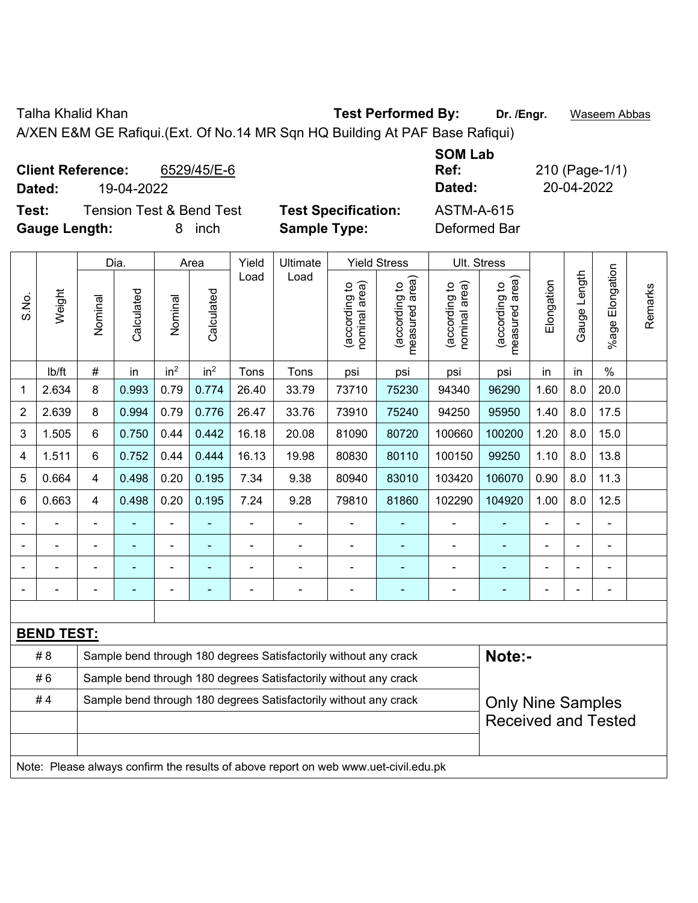Talha Khalid Khan **Test Performed By: Dr. /Engr.** Waseem Abbas

A/XEN E&M GE Rafiqui.(Ext. Of No.14 MR Sqn HQ Building At PAF Base Rafiqui)

| <b>Client Reference:</b><br>6529/45/E-6<br>19-04-2022<br>Dated: |                            | <b>SOM Lab</b><br>Ref:<br>Dated: | 210 (Page-1/1)<br>20-04-2022 |
|-----------------------------------------------------------------|----------------------------|----------------------------------|------------------------------|
| <b>Tension Test &amp; Bend Test</b><br>Test:                    | <b>Test Specification:</b> | <b>ASTM-A-615</b>                |                              |
| <b>Gauge Length:</b><br>inch                                    | <b>Sample Type:</b>        | Deformed Bar                     |                              |

|       |                   |                | Dia.                                                             |                 | Area            | Yield          | Ultimate                                                                            |                                | <b>Yield Stress</b>             |                                | Ult. Stress                                 |                |              |                              |         |
|-------|-------------------|----------------|------------------------------------------------------------------|-----------------|-----------------|----------------|-------------------------------------------------------------------------------------|--------------------------------|---------------------------------|--------------------------------|---------------------------------------------|----------------|--------------|------------------------------|---------|
| S.No. | Weight            | Nominal        | Calculated                                                       | Nominal         | Calculated      | Load           | Load                                                                                | nominal area)<br>(according to | (according to<br>measured area) | nominal area)<br>(according to | (according to<br>neasured area)<br>measured | Elongation     | Gauge Length | Elongation<br>$%$ age        | Remarks |
|       | lb/ft             | #              | in                                                               | in <sup>2</sup> | in <sup>2</sup> | Tons           | Tons                                                                                | psi                            | psi                             | psi                            | psi                                         | in             | in           | $\%$                         |         |
| 1     | 2.634             | 8              | 0.993                                                            | 0.79            | 0.774           | 26.40          | 33.79                                                                               | 73710                          | 75230                           | 94340                          | 96290                                       | 1.60           | 8.0          | 20.0                         |         |
| 2     | 2.639             | 8              | 0.994                                                            | 0.79            | 0.776           | 26.47          | 33.76                                                                               | 73910                          | 75240                           | 94250                          | 95950                                       | 1.40           | 8.0          | 17.5                         |         |
| 3     | 1.505             | 6              | 0.750                                                            | 0.44            | 0.442           | 16.18          | 20.08                                                                               | 81090                          | 80720                           | 100660                         | 100200                                      | 1.20           | 8.0          | 15.0                         |         |
| 4     | 1.511             | 6              | 0.752                                                            | 0.44            | 0.444           | 16.13          | 19.98                                                                               | 80830                          | 80110                           | 100150                         | 99250                                       | 1.10           | 8.0          | 13.8                         |         |
| 5     | 0.664             | $\overline{4}$ | 0.498                                                            | 0.20            | 0.195           | 7.34           | 9.38                                                                                | 80940                          | 83010                           | 103420                         | 106070                                      | 0.90           | 8.0          | 11.3                         |         |
| 6     | 0.663             | $\overline{4}$ | 0.498                                                            | 0.20            | 0.195           | 7.24           | 9.28                                                                                | 79810                          | 81860                           | 102290                         | 104920                                      | 1.00           | 8.0          | 12.5                         |         |
|       |                   |                |                                                                  | $\blacksquare$  |                 |                | ä,                                                                                  | ä,                             |                                 |                                |                                             |                |              |                              |         |
|       |                   |                | ۰                                                                | ۰               |                 |                | $\blacksquare$                                                                      | $\blacksquare$                 | ۰                               | $\blacksquare$                 | $\overline{\phantom{0}}$                    |                |              | $\blacksquare$               |         |
|       |                   |                | ۰                                                                | ۰               |                 |                | $\blacksquare$                                                                      |                                |                                 | $\blacksquare$                 | $\blacksquare$                              | $\blacksquare$ |              | ä,                           |         |
|       |                   | $\blacksquare$ | ä,                                                               | ÷               | ۰               | $\blacksquare$ | ÷                                                                                   | $\blacksquare$                 | ÷                               | $\overline{\phantom{a}}$       | $\blacksquare$                              | $\blacksquare$ |              | $\qquad \qquad \blacksquare$ |         |
|       |                   |                |                                                                  |                 |                 |                |                                                                                     |                                |                                 |                                |                                             |                |              |                              |         |
|       | <b>BEND TEST:</b> |                |                                                                  |                 |                 |                |                                                                                     |                                |                                 |                                |                                             |                |              |                              |         |
|       | # 8               |                |                                                                  |                 |                 |                | Sample bend through 180 degrees Satisfactorily without any crack                    |                                |                                 |                                | Note:-                                      |                |              |                              |         |
|       | #6                |                | Sample bend through 180 degrees Satisfactorily without any crack |                 |                 |                |                                                                                     |                                |                                 |                                |                                             |                |              |                              |         |
|       | #4                |                |                                                                  |                 |                 |                | Sample bend through 180 degrees Satisfactorily without any crack                    |                                |                                 |                                | <b>Only Nine Samples</b>                    |                |              |                              |         |
|       |                   |                |                                                                  |                 |                 |                |                                                                                     |                                |                                 |                                | <b>Received and Tested</b>                  |                |              |                              |         |
|       |                   |                |                                                                  |                 |                 |                |                                                                                     |                                |                                 |                                |                                             |                |              |                              |         |
|       |                   |                |                                                                  |                 |                 |                | Note: Please always confirm the results of above report on web www.uet-civil.edu.pk |                                |                                 |                                |                                             |                |              |                              |         |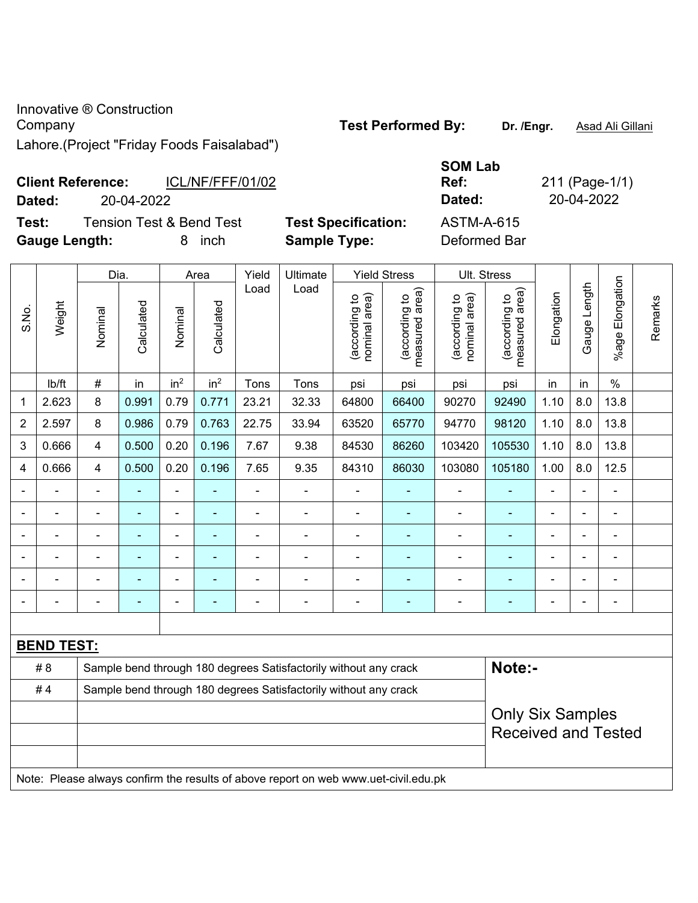Innovative ® Construction **Company Company Test Performed By:** Dr. /Engr. **Asad Ali Gillani** Lahore.(Project "Friday Foods Faisalabad")

**Client Reference:** ICL/NF/FFF/01/02 **Dated:** 20-04-2022 **Dated:** 20-04-2022 **Test:** Tension Test & Bend Test **Test Specification:** ASTM-A-615

**Gauge Length:** 8 inch **Sample Type:** Deformed Bar

|                |                   | Dia.                                                                                |                |                          | Area            | Yield          | Ultimate                                                         |                                | <b>Yield Stress</b>             | <b>Ult. Stress</b>             |                                 |                |                |                              |         |
|----------------|-------------------|-------------------------------------------------------------------------------------|----------------|--------------------------|-----------------|----------------|------------------------------------------------------------------|--------------------------------|---------------------------------|--------------------------------|---------------------------------|----------------|----------------|------------------------------|---------|
| S.No.          | Weight            | Nominal                                                                             | Calculated     | Nominal                  | Calculated      | Load           | Load                                                             | (according to<br>nominal area) | (according to<br>measured area) | (according to<br>nominal area) | (according to<br>measured area) | Elongation     | Gauge Length   | Elongation<br>$%$ age        | Remarks |
|                | lb/ft             | #                                                                                   | in             | in <sup>2</sup>          | in <sup>2</sup> | Tons           | Tons                                                             | psi                            | psi                             | psi                            | psi                             | in             | in             | $\%$                         |         |
| 1              | 2.623             | 8                                                                                   | 0.991          | 0.79                     | 0.771           | 23.21          | 32.33                                                            | 64800                          | 66400                           | 90270                          | 92490                           | 1.10           | 8.0            | 13.8                         |         |
| $\overline{2}$ | 2.597             | 8                                                                                   | 0.986          | 0.79                     | 0.763           | 22.75          | 33.94                                                            | 63520                          | 65770                           | 94770                          | 98120                           | 1.10           | 8.0            | 13.8                         |         |
| 3              | 0.666             | 4                                                                                   | 0.500          | 0.20                     | 0.196           | 7.67           | 9.38                                                             | 84530                          | 86260                           | 103420                         | 105530                          | 1.10           | 8.0            | 13.8                         |         |
| 4              | 0.666             | 4                                                                                   | 0.500          | 0.20                     | 0.196           | 7.65           | 9.35                                                             | 84310                          | 86030                           | 103080                         | 105180                          | 1.00           | 8.0            | 12.5                         |         |
| $\blacksquare$ |                   | ۰                                                                                   |                | $\blacksquare$           |                 | ä,             | $\overline{\phantom{a}}$                                         | $\blacksquare$                 | $\blacksquare$                  | $\blacksquare$                 | $\blacksquare$                  | $\blacksquare$ | $\blacksquare$ | $\qquad \qquad \blacksquare$ |         |
|                |                   | ÷                                                                                   | $\blacksquare$ | $\blacksquare$           | $\blacksquare$  | L,             | $\blacksquare$                                                   | ۰                              | ä,                              | $\blacksquare$                 | $\blacksquare$                  | $\blacksquare$ |                | $\overline{\phantom{a}}$     |         |
|                |                   | ÷                                                                                   | $\blacksquare$ | $\overline{\phantom{a}}$ | $\blacksquare$  | $\overline{a}$ | $\overline{a}$                                                   | ۰                              | ä,                              | $\blacksquare$                 | ÷,                              | $\blacksquare$ |                | $\blacksquare$               |         |
|                |                   | ۰                                                                                   |                | ۰                        | ٠               | ä,             | L,                                                               | ۰                              | ۰                               | $\blacksquare$                 | ÷                               | $\blacksquare$ |                | $\overline{\phantom{a}}$     |         |
|                |                   |                                                                                     |                |                          |                 |                |                                                                  | $\blacksquare$                 | $\overline{a}$                  |                                | $\blacksquare$                  |                |                | $\blacksquare$               |         |
|                |                   |                                                                                     |                |                          |                 |                |                                                                  |                                |                                 |                                |                                 |                |                | ä,                           |         |
|                |                   |                                                                                     |                |                          |                 |                |                                                                  |                                |                                 |                                |                                 |                |                |                              |         |
|                | <b>BEND TEST:</b> |                                                                                     |                |                          |                 |                |                                                                  |                                |                                 |                                |                                 |                |                |                              |         |
|                | # 8               |                                                                                     |                |                          |                 |                | Sample bend through 180 degrees Satisfactorily without any crack |                                |                                 |                                | Note:-                          |                |                |                              |         |
|                | #4                |                                                                                     |                |                          |                 |                | Sample bend through 180 degrees Satisfactorily without any crack |                                |                                 |                                |                                 |                |                |                              |         |
|                |                   |                                                                                     |                |                          |                 |                |                                                                  |                                |                                 |                                | <b>Only Six Samples</b>         |                |                |                              |         |
|                |                   |                                                                                     |                |                          |                 |                |                                                                  |                                |                                 |                                | <b>Received and Tested</b>      |                |                |                              |         |
|                |                   |                                                                                     |                |                          |                 |                |                                                                  |                                |                                 |                                |                                 |                |                |                              |         |
|                |                   | Note: Please always confirm the results of above report on web www.uet-civil.edu.pk |                |                          |                 |                |                                                                  |                                |                                 |                                |                                 |                |                |                              |         |

**SOM Lab** 

**Ref:** 211 (Page-1/1)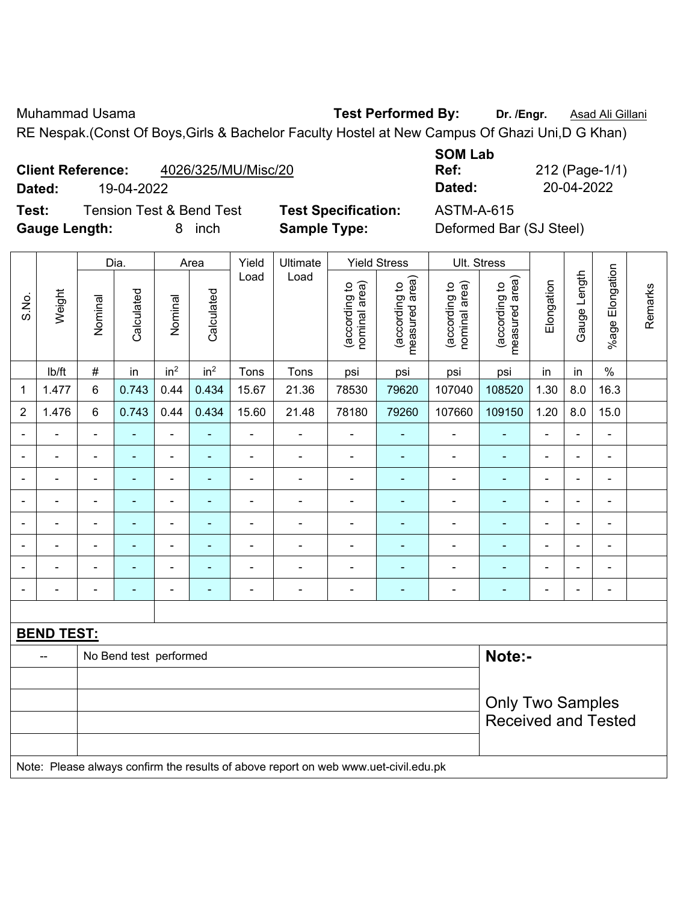Muhammad Usama **Test Performed By: Dr. /Engr.** Asad Ali Gillani RE Nespak.(Const Of Boys,Girls & Bachelor Faculty Hostel at New Campus Of Ghazi Uni,D G Khan)

|     | <b>Client Reference:</b> | 4026/325/MU/Misc/20 |
|-----|--------------------------|---------------------|
| - - | 10.01000                 |                     |

**Test:** Tension Test & Bend Test **Test Specification:** ASTM-A-615

**SOM Lab Ref:** 212 (Page-1/1)

|                |                   |                | Dia.                   |                          | Area            | Yield          | Ultimate                                                                            |                                | <b>Yield Stress</b>             |                                | Ult. Stress                     |                |                |                              |         |
|----------------|-------------------|----------------|------------------------|--------------------------|-----------------|----------------|-------------------------------------------------------------------------------------|--------------------------------|---------------------------------|--------------------------------|---------------------------------|----------------|----------------|------------------------------|---------|
| S.No.          | Weight            | Nominal        | Calculated             | Nominal                  | Calculated      | Load           | Load                                                                                | nominal area)<br>(according to | (according to<br>measured area) | (according to<br>nominal area) | (according to<br>measured area) | Elongation     | Gauge Length   | %age Elongation              | Remarks |
|                | Ib/ft             | $\#$           | in                     | in <sup>2</sup>          | in <sup>2</sup> | Tons           | Tons                                                                                | psi                            | psi                             | psi                            | psi                             | in             | in             | $\%$                         |         |
| $\mathbf{1}$   | 1.477             | $6\phantom{a}$ | 0.743                  | 0.44                     | 0.434           | 15.67          | 21.36                                                                               | 78530                          | 79620                           | 107040                         | 108520                          | 1.30           | 8.0            | 16.3                         |         |
| $\overline{2}$ | 1.476             | 6              | 0.743                  | 0.44                     | 0.434           | 15.60          | 21.48                                                                               | 78180                          | 79260                           | 107660                         | 109150                          | 1.20           | 8.0            | 15.0                         |         |
|                |                   |                |                        | ÷,                       |                 |                | L,                                                                                  | $\blacksquare$                 |                                 | ä,                             | ÷,                              | $\overline{a}$ |                | $\blacksquare$               |         |
|                | ÷                 | ä,             | ä,                     | $\overline{\phantom{a}}$ | ۰               | $\blacksquare$ | ÷                                                                                   | $\overline{\phantom{a}}$       | ۰                               | $\blacksquare$                 | $\overline{\phantom{0}}$        | $\blacksquare$ | $\blacksquare$ | $\overline{\phantom{a}}$     |         |
|                | $\blacksquare$    | $\blacksquare$ | ٠                      | $\overline{\phantom{0}}$ | ۰               | $\blacksquare$ | $\overline{\phantom{a}}$                                                            | $\blacksquare$                 | ۰                               | $\overline{\phantom{a}}$       | $\blacksquare$                  | $\blacksquare$ | $\blacksquare$ | $\qquad \qquad \blacksquare$ |         |
|                | $\blacksquare$    | $\blacksquare$ | ÷                      | $\overline{\phantom{0}}$ | ۰               | $\blacksquare$ | ä,                                                                                  | $\blacksquare$                 |                                 | $\blacksquare$                 | $\blacksquare$                  | $\blacksquare$ | $\blacksquare$ | $\blacksquare$               |         |
|                | ÷                 | $\blacksquare$ | ÷,                     | $\blacksquare$           | ۰               | $\blacksquare$ | ÷                                                                                   | $\blacksquare$                 | ۰                               | $\blacksquare$                 | $\blacksquare$                  | ä,             | $\blacksquare$ | ÷,                           |         |
|                |                   |                | $\blacksquare$         | $\blacksquare$           |                 |                | $\blacksquare$                                                                      | ä,                             |                                 | $\blacksquare$                 | $\blacksquare$                  | $\blacksquare$ |                | $\blacksquare$               |         |
|                |                   |                |                        | $\blacksquare$           |                 |                | $\blacksquare$                                                                      | $\blacksquare$                 |                                 | ÷,                             |                                 |                |                |                              |         |
| $\blacksquare$ | ÷                 | $\blacksquare$ | ä,                     | ۰                        | ÷               | $\blacksquare$ | ÷                                                                                   | -                              | ÷                               | $\blacksquare$                 | $\blacksquare$                  | $\blacksquare$ | $\blacksquare$ | $\qquad \qquad \blacksquare$ |         |
|                |                   |                |                        |                          |                 |                |                                                                                     |                                |                                 |                                |                                 |                |                |                              |         |
|                | <b>BEND TEST:</b> |                |                        |                          |                 |                |                                                                                     |                                |                                 |                                |                                 |                |                |                              |         |
|                | --                |                | No Bend test performed |                          |                 |                |                                                                                     |                                |                                 |                                | Note:-                          |                |                |                              |         |
|                |                   |                |                        |                          |                 |                |                                                                                     |                                |                                 |                                |                                 |                |                |                              |         |
|                |                   |                |                        |                          |                 |                |                                                                                     |                                |                                 |                                | <b>Only Two Samples</b>         |                |                |                              |         |
|                |                   |                |                        |                          |                 |                |                                                                                     |                                |                                 |                                | <b>Received and Tested</b>      |                |                |                              |         |
|                |                   |                |                        |                          |                 |                |                                                                                     |                                |                                 |                                |                                 |                |                |                              |         |
|                |                   |                |                        |                          |                 |                | Note: Please always confirm the results of above report on web www.uet-civil.edu.pk |                                |                                 |                                |                                 |                |                |                              |         |

**Dated:** 19-04-2022 **Dated:** 20-04-2022

**Gauge Length:** 8 inch **Sample Type:** Deformed Bar (SJ Steel)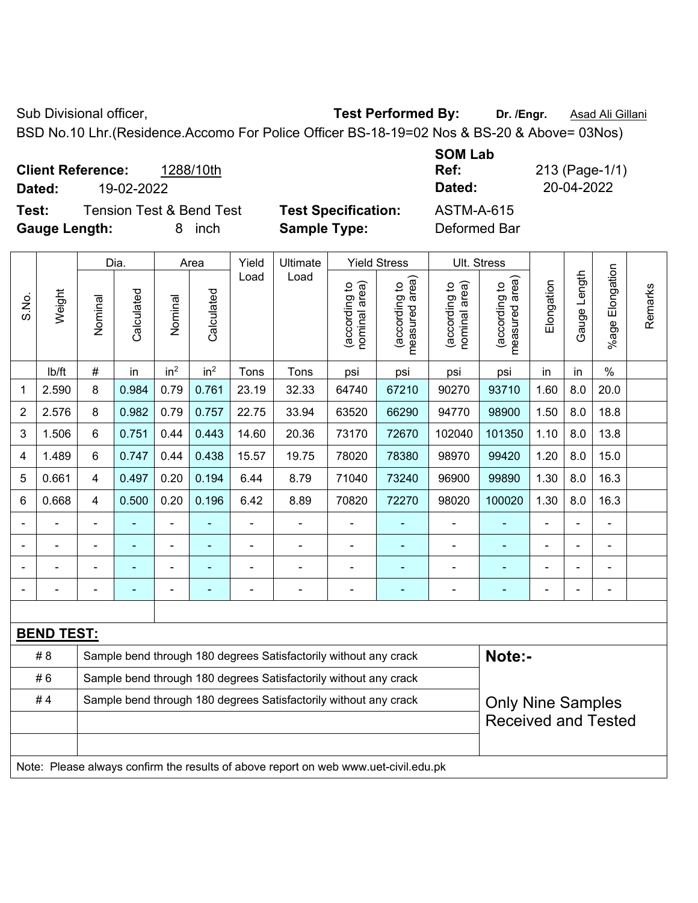Sub Divisional officer, **Test Performed By:** Dr. /Engr. **Asad Ali Gillani** Associated By: Dr. /Engr. **Asad Ali Gillani** 

BSD No.10 Lhr.(Residence.Accomo For Police Officer BS-18-19=02 Nos & BS-20 & Above= 03Nos)

|        | <b>Client Reference:</b><br>1288/10th |                            | Ref:       | 213 (Page-1/ |
|--------|---------------------------------------|----------------------------|------------|--------------|
| Dated: | 19-02-2022                            |                            | Dated:     | 20-04-2022   |
| Test:  | <b>Tension Test &amp; Bend Test</b>   | <b>Test Specification:</b> | ASTM-A-615 |              |

**Test Specification:** ASTM-A-615

**SOM Lab Ref:** 213 (Page-1/1)

**Gauge Length:** 8 inch **Sample Type:** Deformed Bar

|       |                   | Dia.<br>Area                                                     |            |                 | Yield           | Ultimate       |                                                                                     | <b>Yield Stress</b>            |                                             | Ult. Stress                    |                                 |                |              |                       |         |
|-------|-------------------|------------------------------------------------------------------|------------|-----------------|-----------------|----------------|-------------------------------------------------------------------------------------|--------------------------------|---------------------------------------------|--------------------------------|---------------------------------|----------------|--------------|-----------------------|---------|
| S.No. | Weight            | Nominal                                                          | Calculated | Nominal         | Calculated      | Load           | Load                                                                                | nominal area)<br>(according to | (according to<br>neasured area)<br>measured | nominal area)<br>(according to | (according to<br>measured area) | Elongation     | Gauge Length | Elongation<br>$%$ age | Remarks |
|       | lb/ft             | $\#$                                                             | in         | in <sup>2</sup> | in <sup>2</sup> | Tons           | Tons                                                                                | psi                            | psi                                         | psi                            | psi                             | in             | in           | $\%$                  |         |
| 1     | 2.590             | 8                                                                | 0.984      | 0.79            | 0.761           | 23.19          | 32.33                                                                               | 64740                          | 67210                                       | 90270                          | 93710                           | 1.60           | 8.0          | 20.0                  |         |
| 2     | 2.576             | 8                                                                | 0.982      | 0.79            | 0.757           | 22.75          | 33.94                                                                               | 63520                          | 66290                                       | 94770                          | 98900                           | 1.50           | 8.0          | 18.8                  |         |
| 3     | 1.506             | 6                                                                | 0.751      | 0.44            | 0.443           | 14.60          | 20.36                                                                               | 73170                          | 72670                                       | 102040                         | 101350                          | 1.10           | 8.0          | 13.8                  |         |
| 4     | 1.489             | 6                                                                | 0.747      | 0.44            | 0.438           | 15.57          | 19.75                                                                               | 78020                          | 78380                                       | 98970                          | 99420                           | 1.20           | 8.0          | 15.0                  |         |
| 5     | 0.661             | 4                                                                | 0.497      | 0.20            | 0.194           | 6.44           | 8.79                                                                                | 71040                          | 73240                                       | 96900                          | 99890                           | 1.30           | 8.0          | 16.3                  |         |
| 6     | 0.668             | 4                                                                | 0.500      | 0.20            | 0.196           | 6.42           | 8.89                                                                                | 70820                          | 72270                                       | 98020                          | 100020                          | 1.30           | 8.0          | 16.3                  |         |
|       |                   |                                                                  |            |                 |                 |                | $\overline{\phantom{0}}$                                                            |                                |                                             |                                |                                 |                |              |                       |         |
|       |                   |                                                                  |            | $\blacksquare$  |                 | $\blacksquare$ | $\blacksquare$                                                                      | $\blacksquare$                 |                                             | $\blacksquare$                 |                                 |                |              |                       |         |
|       |                   |                                                                  |            | $\blacksquare$  |                 | L              | $\blacksquare$                                                                      |                                |                                             | $\blacksquare$                 |                                 | $\blacksquare$ |              | $\blacksquare$        |         |
|       |                   | Ē,                                                               | ÷          | $\blacksquare$  | $\blacksquare$  | -              | $\blacksquare$                                                                      | ä,                             | ÷                                           | $\blacksquare$                 | $\blacksquare$                  | $\blacksquare$ |              | ÷                     |         |
|       |                   |                                                                  |            |                 |                 |                |                                                                                     |                                |                                             |                                |                                 |                |              |                       |         |
|       | <b>BEND TEST:</b> |                                                                  |            |                 |                 |                |                                                                                     |                                |                                             |                                |                                 |                |              |                       |         |
|       | # 8               |                                                                  |            |                 |                 |                | Sample bend through 180 degrees Satisfactorily without any crack                    |                                |                                             |                                | Note:-                          |                |              |                       |         |
|       | #6                | Sample bend through 180 degrees Satisfactorily without any crack |            |                 |                 |                |                                                                                     |                                |                                             |                                |                                 |                |              |                       |         |
|       | #4                |                                                                  |            |                 |                 |                | Sample bend through 180 degrees Satisfactorily without any crack                    |                                |                                             |                                | <b>Only Nine Samples</b>        |                |              |                       |         |
|       |                   |                                                                  |            |                 |                 |                |                                                                                     |                                |                                             |                                | <b>Received and Tested</b>      |                |              |                       |         |
|       |                   |                                                                  |            |                 |                 |                |                                                                                     |                                |                                             |                                |                                 |                |              |                       |         |
|       |                   |                                                                  |            |                 |                 |                | Note: Please always confirm the results of above report on web www.uet-civil.edu.pk |                                |                                             |                                |                                 |                |              |                       |         |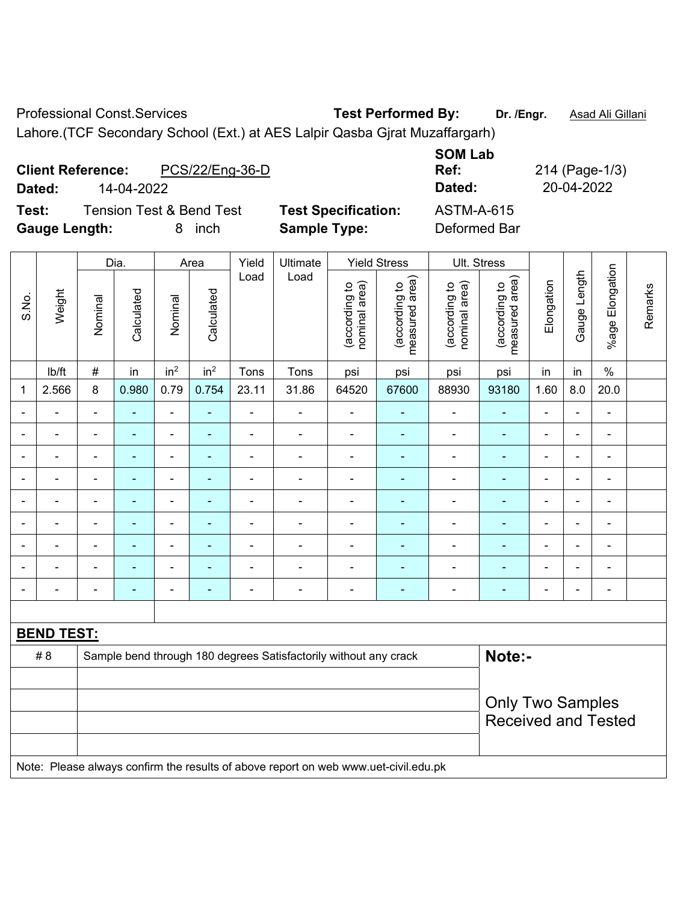Professional Const.Services **Test Performed By:** Dr. /Engr. **Asad Ali Gillani** 

Lahore.(TCF Secondary School (Ext.) at AES Lalpir Qasba Gjrat Muzaffargarh)

| <b>Client Reference:</b><br>14-04-2022<br>Dated: | PCS/22/Eng-36-D                                   |                                                   | <b>SOM Lab</b><br>Ref:<br>Dated:  | 214 (Page-1/3)<br>20-04-2022 |
|--------------------------------------------------|---------------------------------------------------|---------------------------------------------------|-----------------------------------|------------------------------|
| Test:<br><b>Gauge Length:</b>                    | <b>Tension Test &amp; Bend Test</b><br>inch<br>8. | <b>Test Specification:</b><br><b>Sample Type:</b> | <b>ASTM-A-615</b><br>Deformed Bar |                              |

|                |                   |                | Dia.           |                 | Area            | Yield                    | Ultimate                                                                            |                                | <b>Yield Stress</b>             |                                | Ult. Stress                                           |                |                |                 |         |
|----------------|-------------------|----------------|----------------|-----------------|-----------------|--------------------------|-------------------------------------------------------------------------------------|--------------------------------|---------------------------------|--------------------------------|-------------------------------------------------------|----------------|----------------|-----------------|---------|
| S.No.          | Weight            | Nominal        | Calculated     | Nominal         | Calculated      | Load                     | Load                                                                                | nominal area)<br>(according to | measured area)<br>(according to | (according to<br>nominal area) | (according to<br>measured area)                       | Elongation     | Gauge Length   | %age Elongation | Remarks |
|                | lb/ft             | $\#$           | in             | in <sup>2</sup> | in <sup>2</sup> | Tons                     | Tons                                                                                | psi                            | psi                             | psi                            | psi                                                   | in             | in             | $\%$            |         |
| 1              | 2.566             | 8              | 0.980          | 0.79            | 0.754           | 23.11                    | 31.86                                                                               | 64520                          | 67600                           | 88930                          | 93180                                                 | 1.60           | 8.0            | 20.0            |         |
|                |                   | $\blacksquare$ | $\blacksquare$ | ä,              |                 | $\blacksquare$           | $\overline{\phantom{0}}$                                                            | $\blacksquare$                 | $\blacksquare$                  | $\sim$                         | $\blacksquare$                                        | $\overline{a}$ |                | $\blacksquare$  |         |
|                |                   |                |                | ÷               |                 |                          |                                                                                     | $\blacksquare$                 |                                 |                                |                                                       |                |                |                 |         |
|                | $\blacksquare$    | $\blacksquare$ | ۰              | $\overline{a}$  |                 | $\blacksquare$           | $\blacksquare$                                                                      | $\blacksquare$                 | ٠                               | ٠                              | $\blacksquare$                                        | $\blacksquare$ | $\blacksquare$ | $\blacksquare$  |         |
| $\blacksquare$ | L.                | $\blacksquare$ | $\blacksquare$ | ÷,              |                 | $\blacksquare$           | $\blacksquare$                                                                      | $\blacksquare$                 | $\blacksquare$                  | $\overline{\phantom{a}}$       | $\blacksquare$                                        | $\blacksquare$ | $\blacksquare$ | $\blacksquare$  |         |
|                | $\blacksquare$    | $\blacksquare$ | ۰              | $\overline{a}$  |                 | $\overline{\phantom{0}}$ | $\blacksquare$                                                                      | $\blacksquare$                 | ٠                               | $\overline{\phantom{0}}$       | $\blacksquare$                                        | ٠              |                | $\blacksquare$  |         |
| $\blacksquare$ | $\blacksquare$    | $\blacksquare$ | $\blacksquare$ | ÷,              | $\blacksquare$  | ä,                       | $\blacksquare$                                                                      | $\blacksquare$                 | $\blacksquare$                  | $\blacksquare$                 | $\blacksquare$                                        | $\overline{a}$ |                | $\blacksquare$  |         |
|                |                   |                | ÷              | $\blacksquare$  |                 | ä,                       | ä,                                                                                  | $\blacksquare$                 |                                 |                                | Ē,                                                    |                |                | $\blacksquare$  |         |
|                |                   |                |                |                 |                 |                          |                                                                                     | $\blacksquare$                 |                                 |                                |                                                       |                |                |                 |         |
|                | Ē,                |                | $\blacksquare$ | $\blacksquare$  |                 | ٠                        | $\blacksquare$                                                                      | $\blacksquare$                 | ٠                               | Ē,                             | Ē,                                                    |                |                | $\blacksquare$  |         |
|                |                   |                |                |                 |                 |                          |                                                                                     |                                |                                 |                                |                                                       |                |                |                 |         |
|                | <b>BEND TEST:</b> |                |                |                 |                 |                          |                                                                                     |                                |                                 |                                |                                                       |                |                |                 |         |
|                | # 8               |                |                |                 |                 |                          | Sample bend through 180 degrees Satisfactorily without any crack                    |                                |                                 |                                | Note:-                                                |                |                |                 |         |
|                |                   |                |                |                 |                 |                          |                                                                                     |                                |                                 |                                |                                                       |                |                |                 |         |
|                |                   |                |                |                 |                 |                          |                                                                                     |                                |                                 |                                | <b>Only Two Samples</b><br><b>Received and Tested</b> |                |                |                 |         |
|                |                   |                |                |                 |                 |                          |                                                                                     |                                |                                 |                                |                                                       |                |                |                 |         |
|                |                   |                |                |                 |                 |                          | Note: Please always confirm the results of above report on web www.uet-civil.edu.pk |                                |                                 |                                |                                                       |                |                |                 |         |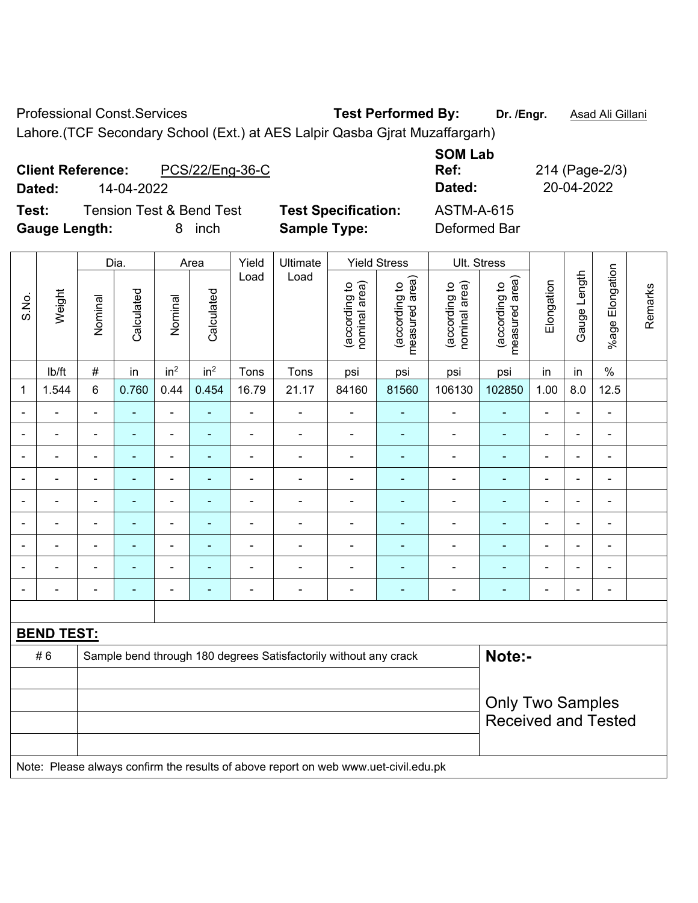Professional Const.Services **Test Performed By:** Dr. /Engr. **Asad Ali Gillani** 

Lahore.(TCF Secondary School (Ext.) at AES Lalpir Qasba Gjrat Muzaffargarh)

| <b>Client Reference:</b><br>Dated: | PCS/22/Eng-36-C<br>14-04-2022                     |                                                   | <b>SOM Lab</b><br>Ref:<br>Dated:  | 214 (Page-2/3)<br>20-04-2022 |
|------------------------------------|---------------------------------------------------|---------------------------------------------------|-----------------------------------|------------------------------|
| Test:<br><b>Gauge Length:</b>      | <b>Tension Test &amp; Bend Test</b><br>inch<br>8. | <b>Test Specification:</b><br><b>Sample Type:</b> | <b>ASTM-A-615</b><br>Deformed Bar |                              |

|                |                   |                | Dia.           |                          | Area            | Yield                        | Ultimate                                                                            |                                | <b>Yield Stress</b>             |                                | Ult. Stress                     |                          |                |                 |         |
|----------------|-------------------|----------------|----------------|--------------------------|-----------------|------------------------------|-------------------------------------------------------------------------------------|--------------------------------|---------------------------------|--------------------------------|---------------------------------|--------------------------|----------------|-----------------|---------|
| S.No.          | Weight            | Nominal        | Calculated     | Nominal                  | Calculated      | Load                         | Load                                                                                | nominal area)<br>(according to | (according to<br>measured area) | nominal area)<br>(according to | (according to<br>measured area) | Elongation               | Gauge Length   | %age Elongation | Remarks |
|                | lb/ft             | $\#$           | in             | in <sup>2</sup>          | in <sup>2</sup> | Tons                         | Tons                                                                                | psi                            | psi                             | psi                            | psi                             | in                       | in             | $\%$            |         |
| $\mathbf 1$    | 1.544             | $6\phantom{1}$ | 0.760          | 0.44                     | 0.454           | 16.79                        | 21.17                                                                               | 84160                          | 81560                           | 106130                         | 102850                          | 1.00                     | 8.0            | 12.5            |         |
|                |                   | $\sim$         | ÷              | ÷,                       | ٠               | $\blacksquare$               | $\blacksquare$                                                                      | $\blacksquare$                 | ۰                               | $\blacksquare$                 | $\blacksquare$                  | $\blacksquare$           | $\overline{a}$ | $\blacksquare$  |         |
|                | $\blacksquare$    | $\blacksquare$ | ÷              | $\overline{\phantom{0}}$ | ٠               | $\blacksquare$               | $\blacksquare$                                                                      | $\blacksquare$                 | $\blacksquare$                  | $\blacksquare$                 | $\blacksquare$                  | $\blacksquare$           | ä,             | $\blacksquare$  |         |
|                | $\blacksquare$    | $\blacksquare$ | $\blacksquare$ | $\overline{\phantom{0}}$ | ۰               | $\qquad \qquad \blacksquare$ | $\overline{\phantom{0}}$                                                            | $\blacksquare$                 | ۰                               | $\overline{\phantom{0}}$       | $\overline{\phantom{0}}$        | $\overline{\phantom{0}}$ | ٠              | $\blacksquare$  |         |
|                | ä,                | ä,             | L,             | $\blacksquare$           | ۰               | $\blacksquare$               | $\blacksquare$                                                                      | ä,                             | ٠                               | $\blacksquare$                 | ÷,                              | $\blacksquare$           | Ē,             | $\blacksquare$  |         |
|                | $\blacksquare$    | $\blacksquare$ | $\blacksquare$ | ÷                        | ۰               | $\blacksquare$               | $\blacksquare$                                                                      | $\blacksquare$                 | ۰                               | $\blacksquare$                 | $\blacksquare$                  | $\blacksquare$           |                | $\blacksquare$  |         |
|                |                   |                | Ē.             | $\blacksquare$           |                 | $\blacksquare$               | $\blacksquare$                                                                      | $\blacksquare$                 | ۰                               | $\blacksquare$                 |                                 | $\overline{\phantom{a}}$ |                | $\blacksquare$  |         |
|                |                   |                |                | $\blacksquare$           |                 | $\blacksquare$               | $\blacksquare$                                                                      | $\blacksquare$                 | ۰                               |                                |                                 |                          |                | $\blacksquare$  |         |
|                |                   |                |                | $\blacksquare$           |                 |                              |                                                                                     | $\blacksquare$                 | $\blacksquare$                  | $\blacksquare$                 |                                 |                          |                | $\blacksquare$  |         |
| $\blacksquare$ |                   | $\blacksquare$ |                | ÷                        | ۰               | $\blacksquare$               | $\blacksquare$                                                                      | $\blacksquare$                 | ÷                               | $\blacksquare$                 | ٠                               | $\blacksquare$           | $\blacksquare$ | ۰               |         |
|                |                   |                |                |                          |                 |                              |                                                                                     |                                |                                 |                                |                                 |                          |                |                 |         |
|                | <b>BEND TEST:</b> |                |                |                          |                 |                              |                                                                                     |                                |                                 |                                |                                 |                          |                |                 |         |
|                | #6                |                |                |                          |                 |                              | Sample bend through 180 degrees Satisfactorily without any crack                    |                                |                                 |                                | Note:-                          |                          |                |                 |         |
|                |                   |                |                |                          |                 |                              |                                                                                     |                                |                                 |                                |                                 |                          |                |                 |         |
|                |                   |                |                |                          |                 |                              |                                                                                     |                                |                                 |                                | <b>Only Two Samples</b>         |                          |                |                 |         |
|                |                   |                |                |                          |                 |                              |                                                                                     |                                |                                 |                                | <b>Received and Tested</b>      |                          |                |                 |         |
|                |                   |                |                |                          |                 |                              |                                                                                     |                                |                                 |                                |                                 |                          |                |                 |         |
|                |                   |                |                |                          |                 |                              | Note: Please always confirm the results of above report on web www.uet-civil.edu.pk |                                |                                 |                                |                                 |                          |                |                 |         |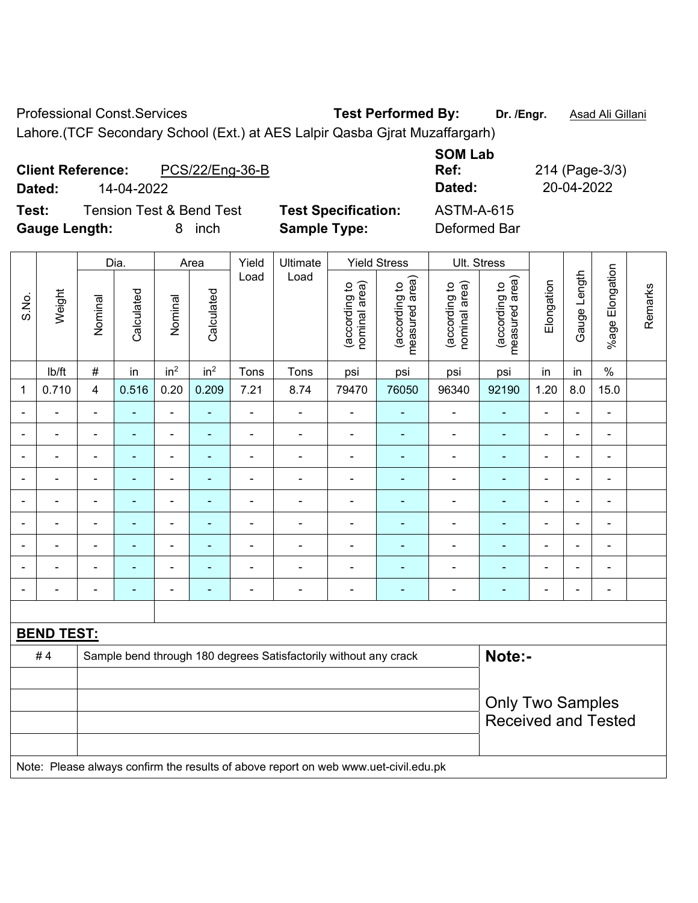Professional Const.Services **Test Performed By:** Dr. /Engr. **Asad Ali Gillani** 

Lahore.(TCF Secondary School (Ext.) at AES Lalpir Qasba Gjrat Muzaffargarh)

| <b>Client Reference:</b><br>Dated: | PCS/22/Eng-36-B<br>14-04-2022         |                                                   | <b>SOM Lab</b><br>Ref:<br>Dated:  | 214 (Page-3/3)<br>20-04-2022 |
|------------------------------------|---------------------------------------|---------------------------------------------------|-----------------------------------|------------------------------|
| Test:<br><b>Gauge Length:</b>      | Tension Test & Bend Test<br>inch<br>8 | <b>Test Specification:</b><br><b>Sample Type:</b> | <b>ASTM-A-615</b><br>Deformed Bar |                              |

|                |                          |                          | Dia.           |                 | Area            | Yield          | Ultimate                                                                            |                                | <b>Yield Stress</b>             |                                | Ult. Stress                                           |                |                          |                 |         |
|----------------|--------------------------|--------------------------|----------------|-----------------|-----------------|----------------|-------------------------------------------------------------------------------------|--------------------------------|---------------------------------|--------------------------------|-------------------------------------------------------|----------------|--------------------------|-----------------|---------|
| S.No.          | Weight                   | Nominal                  | Calculated     | Nominal         | Calculated      | Load           | Load                                                                                | (according to<br>nominal area) | (according to<br>measured area) | nominal area)<br>(according to | measured area)<br>(according to                       | Elongation     | Gauge Length             | %age Elongation | Remarks |
|                | lb/ft                    | $\#$                     | in             | in <sup>2</sup> | in <sup>2</sup> | Tons           | Tons                                                                                | psi                            | psi                             | psi                            | psi                                                   | in             | in                       | $\%$            |         |
| 1              | 0.710                    | 4                        | 0.516          | 0.20            | 0.209           | 7.21           | 8.74                                                                                | 79470                          | 76050                           | 96340                          | 92190                                                 | 1.20           | 8.0                      | 15.0            |         |
| $\blacksquare$ | $\frac{1}{2}$            | $\blacksquare$           | ä,             | ÷,              | ÷               | $\blacksquare$ | $\blacksquare$                                                                      | $\blacksquare$                 | $\blacksquare$                  | $\blacksquare$                 | $\blacksquare$                                        | $\blacksquare$ | $\blacksquare$           | $\blacksquare$  |         |
| $\blacksquare$ | $\overline{\phantom{a}}$ | $\overline{\phantom{a}}$ | ۰              | ÷               | $\blacksquare$  | $\blacksquare$ | $\blacksquare$                                                                      | $\blacksquare$                 | $\blacksquare$                  | $\blacksquare$                 | ٠                                                     | $\blacksquare$ | ÷                        | $\blacksquare$  |         |
|                | $\blacksquare$           | $\blacksquare$           | $\blacksquare$ | ÷,              |                 | $\blacksquare$ | ä,                                                                                  | $\blacksquare$                 | $\blacksquare$                  | $\blacksquare$                 | $\blacksquare$                                        | $\blacksquare$ | $\overline{\phantom{0}}$ | $\blacksquare$  |         |
| $\blacksquare$ | $\blacksquare$           | $\blacksquare$           | $\blacksquare$ | ÷,              | $\blacksquare$  | $\blacksquare$ | $\blacksquare$                                                                      | $\blacksquare$                 | $\blacksquare$                  | $\blacksquare$                 | $\blacksquare$                                        | $\blacksquare$ | $\overline{\phantom{0}}$ | $\blacksquare$  |         |
|                | ÷                        |                          |                | $\blacksquare$  |                 | $\blacksquare$ | ä,                                                                                  | L,                             | $\blacksquare$                  | $\blacksquare$                 | ÷,                                                    |                |                          | ä,              |         |
|                |                          |                          |                |                 |                 |                | $\blacksquare$                                                                      |                                | $\blacksquare$                  | $\blacksquare$                 | $\blacksquare$                                        |                |                          | $\blacksquare$  |         |
|                | $\blacksquare$           | $\blacksquare$           |                | $\blacksquare$  |                 |                | Ē,                                                                                  | $\blacksquare$                 | $\blacksquare$                  | $\blacksquare$                 |                                                       |                |                          | L,              |         |
| $\blacksquare$ | -                        | $\blacksquare$           | ۰              | ۰               |                 |                | $\blacksquare$                                                                      | $\blacksquare$                 | $\overline{\phantom{0}}$        | $\blacksquare$                 | ۰                                                     | $\blacksquare$ | $\overline{\phantom{0}}$ | $\blacksquare$  |         |
| $\blacksquare$ | -                        | $\blacksquare$           | ۰              | ÷,              |                 | $\blacksquare$ | ÷                                                                                   | $\blacksquare$                 | ٠                               | $\blacksquare$                 | $\blacksquare$                                        | ä,             | ä,                       | $\blacksquare$  |         |
|                |                          |                          |                |                 |                 |                |                                                                                     |                                |                                 |                                |                                                       |                |                          |                 |         |
|                | <b>BEND TEST:</b>        |                          |                |                 |                 |                |                                                                                     |                                |                                 |                                |                                                       |                |                          |                 |         |
|                | #4                       |                          |                |                 |                 |                | Sample bend through 180 degrees Satisfactorily without any crack                    |                                |                                 |                                | Note:-                                                |                |                          |                 |         |
|                |                          |                          |                |                 |                 |                |                                                                                     |                                |                                 |                                |                                                       |                |                          |                 |         |
|                |                          |                          |                |                 |                 |                |                                                                                     |                                |                                 |                                | <b>Only Two Samples</b><br><b>Received and Tested</b> |                |                          |                 |         |
|                |                          |                          |                |                 |                 |                |                                                                                     |                                |                                 |                                |                                                       |                |                          |                 |         |
|                |                          |                          |                |                 |                 |                | Note: Please always confirm the results of above report on web www.uet-civil.edu.pk |                                |                                 |                                |                                                       |                |                          |                 |         |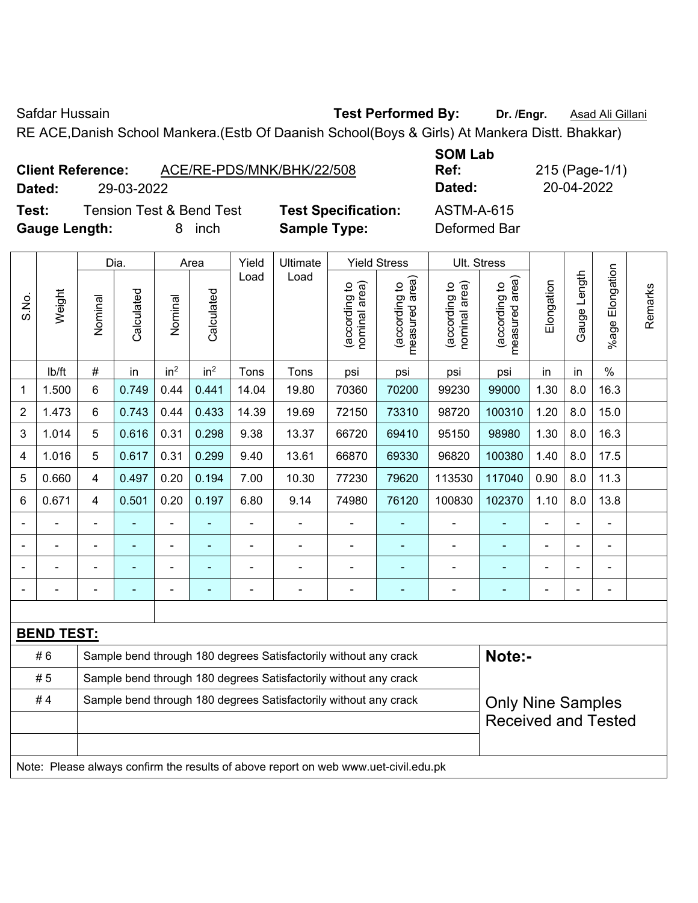Safdar Hussain **Test Performed By:** Dr. /Engr. **Asad Ali Gillani** Care and Ali Cillani

RE ACE,Danish School Mankera.(Estb Of Daanish School(Boys & Girls) At Mankera Distt. Bhakkar)

|        | <b>Client Reference:</b>            | ACE/RE-PDS/MNK/BHK/22/508  | UVIII LUM<br>Ref: |
|--------|-------------------------------------|----------------------------|-------------------|
| Dated: | 29-03-2022                          |                            | Dated:            |
| Test:  | <b>Tension Test &amp; Bend Test</b> | <b>Test Specification:</b> | ASTM-A-615        |

**Gauge Length:** 8 inch **Sample Type:** Deformed Bar

**SOM Lab Ref:** 215 (Page-1/1) **Dated:** 29-03-2022 **Dated:** 20-04-2022

|       |                   |                                                                  | Dia.       |                              | Area            | Yield          | Ultimate                                                                            |                                | <b>Yield Stress</b>                         |                                | Ult. Stress                                 |                |                |                       |         |
|-------|-------------------|------------------------------------------------------------------|------------|------------------------------|-----------------|----------------|-------------------------------------------------------------------------------------|--------------------------------|---------------------------------------------|--------------------------------|---------------------------------------------|----------------|----------------|-----------------------|---------|
| S.No. | Weight            | Nominal                                                          | Calculated | Nominal                      | Calculated      | Load           | Load                                                                                | nominal area)<br>(according to | (according to<br>measured area)<br>measured | nominal area)<br>(according to | (according to<br>measured area)<br>measured | Elongation     | Gauge Length   | Elongation<br>$%$ age | Remarks |
|       | lb/ft             | $\#$                                                             | in         | in <sup>2</sup>              | in <sup>2</sup> | Tons           | Tons                                                                                | psi                            | psi                                         | psi                            | psi                                         | in             | in             | $\%$                  |         |
| 1     | 1.500             | 6                                                                | 0.749      | 0.44                         | 0.441           | 14.04          | 19.80                                                                               | 70360                          | 70200                                       | 99230                          | 99000                                       | 1.30           | 8.0            | 16.3                  |         |
| 2     | 1.473             | 6                                                                | 0.743      | 0.44                         | 0.433           | 14.39          | 19.69                                                                               | 72150                          | 73310                                       | 98720                          | 100310                                      | 1.20           | 8.0            | 15.0                  |         |
| 3     | 1.014             | 5                                                                | 0.616      | 0.31                         | 0.298           | 9.38           | 13.37                                                                               | 66720                          | 69410                                       | 95150                          | 98980                                       | 1.30           | 8.0            | 16.3                  |         |
| 4     | 1.016             | 5                                                                | 0.617      | 0.31                         | 0.299           | 9.40           | 13.61                                                                               | 66870                          | 69330                                       | 96820                          | 100380                                      | 1.40           | 8.0            | 17.5                  |         |
| 5     | 0.660             | $\overline{\mathbf{4}}$                                          | 0.497      | 0.20                         | 0.194           | 7.00           | 10.30                                                                               | 77230                          | 79620                                       | 113530                         | 117040                                      | 0.90           | 8.0            | 11.3                  |         |
| 6     | 0.671             | $\overline{4}$                                                   | 0.501      | 0.20                         | 0.197           | 6.80           | 9.14                                                                                | 74980                          | 76120                                       | 100830                         | 102370                                      | 1.10           | 8.0            | 13.8                  |         |
|       |                   |                                                                  |            |                              |                 |                | ä,                                                                                  | $\blacksquare$                 |                                             |                                |                                             |                |                | L.                    |         |
|       |                   | $\blacksquare$                                                   | ÷          | $\qquad \qquad \blacksquare$ | $\blacksquare$  | $\blacksquare$ | ÷,                                                                                  | $\blacksquare$                 | $\blacksquare$                              | $\blacksquare$                 | $\blacksquare$                              |                | $\blacksquare$ | $\blacksquare$        |         |
|       |                   | $\overline{\phantom{a}}$                                         | ۰          | $\blacksquare$               |                 |                | ÷                                                                                   | $\blacksquare$                 | ۰                                           | $\blacksquare$                 | ٠                                           | $\blacksquare$ |                | $\blacksquare$        |         |
|       |                   | $\blacksquare$                                                   |            | $\blacksquare$               |                 | -              | ÷                                                                                   | $\overline{a}$                 | ۰                                           | $\blacksquare$                 | ÷                                           | $\blacksquare$ |                | $\blacksquare$        |         |
|       |                   |                                                                  |            |                              |                 |                |                                                                                     |                                |                                             |                                |                                             |                |                |                       |         |
|       | <b>BEND TEST:</b> |                                                                  |            |                              |                 |                |                                                                                     |                                |                                             |                                |                                             |                |                |                       |         |
|       | #6                |                                                                  |            |                              |                 |                | Sample bend through 180 degrees Satisfactorily without any crack                    |                                |                                             |                                | Note:-                                      |                |                |                       |         |
|       | # 5               | Sample bend through 180 degrees Satisfactorily without any crack |            |                              |                 |                |                                                                                     |                                |                                             |                                |                                             |                |                |                       |         |
|       | #4                |                                                                  |            |                              |                 |                | Sample bend through 180 degrees Satisfactorily without any crack                    |                                |                                             |                                | <b>Only Nine Samples</b>                    |                |                |                       |         |
|       |                   |                                                                  |            |                              |                 |                |                                                                                     |                                |                                             |                                | <b>Received and Tested</b>                  |                |                |                       |         |
|       |                   |                                                                  |            |                              |                 |                |                                                                                     |                                |                                             |                                |                                             |                |                |                       |         |
|       |                   |                                                                  |            |                              |                 |                | Note: Please always confirm the results of above report on web www.uet-civil.edu.pk |                                |                                             |                                |                                             |                |                |                       |         |